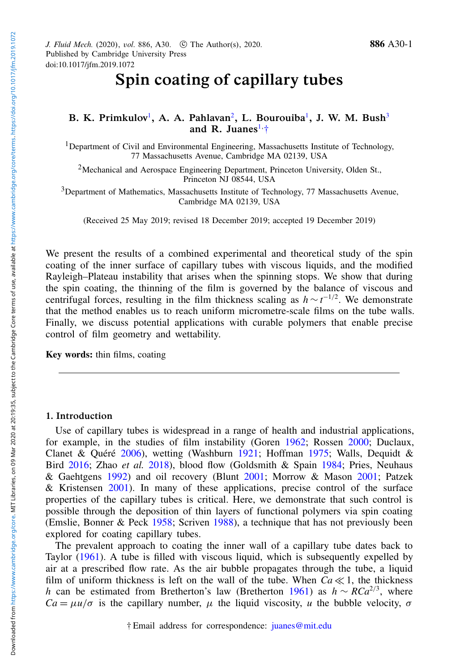# Spin coating of capillary tubes

## B. K. [Primkulov](https://orcid.org/0000-0002-8162-2471)<sup>[1](#page-0-0)</sup>, A. A. [Pahlavan](https://orcid.org/0000-0003-3505-9718)<sup>[2](#page-0-1)</sup>, L. [Bourouiba](https://orcid.org/0000-0001-6025-457X)<sup>1</sup>, J. W. M. Bush<sup>[3](#page-0-2)</sup> and R. [Juanes](https://orcid.org/0000-0002-7370-2332)<sup>[1,](#page-0-0) $\dagger$ </sup>

<span id="page-0-0"></span><sup>1</sup>Department of Civil and Environmental Engineering, Massachusetts Institute of Technology, 77 Massachusetts Avenue, Cambridge MA 02139, USA

<span id="page-0-1"></span><sup>2</sup>Mechanical and Aerospace Engineering Department, Princeton University, Olden St., Princeton NJ 08544, USA

<span id="page-0-2"></span><sup>3</sup>Department of Mathematics, Massachusetts Institute of Technology, 77 Massachusetts Avenue, Cambridge MA 02139, USA

(Received 25 May 2019; revised 18 December 2019; accepted 19 December 2019)

We present the results of a combined experimental and theoretical study of the spin coating of the inner surface of capillary tubes with viscous liquids, and the modified Rayleigh–Plateau instability that arises when the spinning stops. We show that during the spin coating, the thinning of the film is governed by the balance of viscous and centrifugal forces, resulting in the film thickness scaling as  $h \sim t^{-1/2}$ . We demonstrate that the method enables us to reach uniform micrometre-scale films on the tube walls. Finally, we discuss potential applications with curable polymers that enable precise control of film geometry and wettability.

Key words: thin films, coating

#### 1. Introduction

Use of capillary tubes is widespread in a range of health and industrial applications, for example, in the studies of film instability (Goren [1962;](#page-12-0) Rossen [2000;](#page-12-1) Duclaux, Clanet & Quéré [2006\)](#page-12-2), wetting (Washburn [1921;](#page-12-3) Hoffman [1975;](#page-12-4) Walls, Dequidt & Bird [2016;](#page-12-5) Zhao *et al.* [2018\)](#page-12-6), blood flow (Goldsmith & Spain [1984;](#page-12-7) Pries, Neuhaus & Gaehtgens [1992\)](#page-12-8) and oil recovery (Blunt [2001;](#page-12-9) Morrow & Mason [2001;](#page-12-10) Patzek & Kristensen [2001\)](#page-12-11). In many of these applications, precise control of the surface properties of the capillary tubes is critical. Here, we demonstrate that such control is possible through the deposition of thin layers of functional polymers via spin coating (Emslie, Bonner & Peck [1958;](#page-12-12) Scriven [1988\)](#page-12-13), a technique that has not previously been explored for coating capillary tubes.

<span id="page-0-3"></span>The prevalent approach to coating the inner wall of a capillary tube dates back to Taylor [\(1961\)](#page-12-14). A tube is filled with viscous liquid, which is subsequently expelled by air at a prescribed flow rate. As the air bubble propagates through the tube, a liquid film of uniform thickness is left on the wall of the tube. When  $Ca \ll 1$ , the thickness *h* can be estimated from Bretherton's law (Bretherton [1961\)](#page-12-15) as *h* ∼ *RCa*<sup>2/3</sup>, where  $Ca = \mu u/\sigma$  is the capillary number,  $\mu$  the liquid viscosity, *u* the bubble velocity,  $\sigma$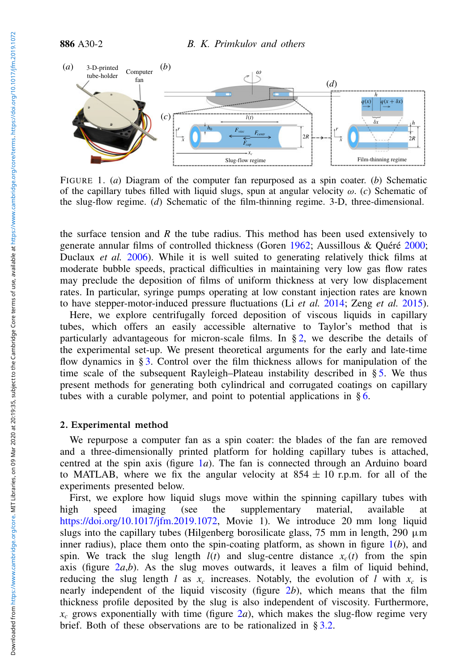<span id="page-1-1"></span>

FIGURE 1. (*a*) Diagram of the computer fan repurposed as a spin coater. (*b*) Schematic of the capillary tubes filled with liquid slugs, spun at angular velocity ω. (*c*) Schematic of the slug-flow regime. (*d*) Schematic of the film-thinning regime. 3-D, three-dimensional.

the surface tension and *R* the tube radius. This method has been used extensively to generate annular films of controlled thickness (Goren [1962;](#page-12-0) Aussillous & Quéré [2000;](#page-12-16) Duclaux *et al.* [2006\)](#page-12-2). While it is well suited to generating relatively thick films at moderate bubble speeds, practical difficulties in maintaining very low gas flow rates may preclude the deposition of films of uniform thickness at very low displacement rates. In particular, syringe pumps operating at low constant injection rates are known to have stepper-motor-induced pressure fluctuations (Li *et al.* [2014;](#page-12-17) Zeng *et al.* [2015\)](#page-12-18).

Here, we explore centrifugally forced deposition of viscous liquids in capillary tubes, which offers an easily accessible alternative to Taylor's method that is particularly advantageous for micron-scale films. In  $\S$ [2,](#page-1-0) we describe the details of the experimental set-up. We present theoretical arguments for the early and late-time flow dynamics in § [3.](#page-2-0) Control over the film thickness allows for manipulation of the time scale of the subsequent Rayleigh–Plateau instability described in § [5.](#page-8-0) We thus present methods for generating both cylindrical and corrugated coatings on capillary tubes with a curable polymer, and point to potential applications in  $§ 6$ .

#### <span id="page-1-0"></span>2. Experimental method

We repurpose a computer fan as a spin coater: the blades of the fan are removed and a three-dimensionally printed platform for holding capillary tubes is attached, centred at the spin axis (figure [1](#page-1-1)*a*). The fan is connected through an Arduino board to MATLAB, where we fix the angular velocity at  $854 \pm 10$  r.p.m. for all of the experiments presented below.

First, we explore how liquid slugs move within the spinning capillary tubes with high speed imaging (see the supplementary material, available at [https://doi.org/10.1017/jfm.2019.1072,](https://doi.org/10.1017/jfm.2019.1072) Movie 1). We introduce 20 mm long liquid slugs into the capillary tubes (Hilgenberg borosilicate glass, 75 mm in length, 290  $\mu$ m inner radius), place them onto the spin-coating platform, as shown in figure  $1(b)$  $1(b)$ , and spin. We track the slug length  $l(t)$  and slug-centre distance  $x_c(t)$  from the spin axis (figure  $2a,b$  $2a,b$ ). As the slug moves outwards, it leaves a film of liquid behind, reducing the slug length *l* as  $x_c$  increases. Notably, the evolution of *l* with  $x_c$  is nearly independent of the liquid viscosity (figure [2](#page-2-1)*b*), which means that the film thickness profile deposited by the slug is also independent of viscosity. Furthermore,  $x_c$  grows exponentially with time (figure [2](#page-2-1)*a*), which makes the slug-flow regime very brief. Both of these observations are to be rationalized in § [3.2.](#page-4-0)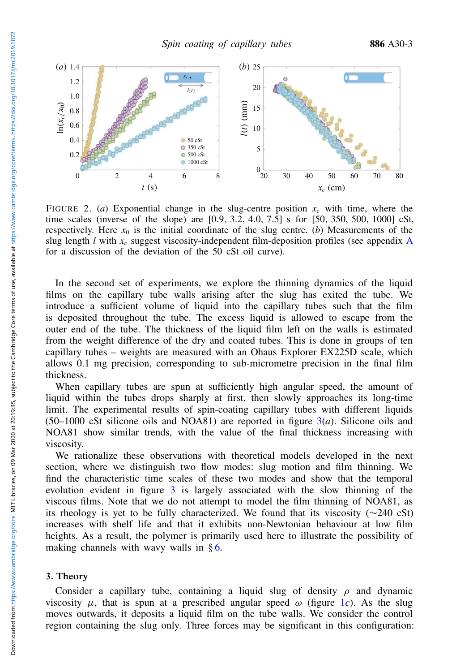<span id="page-2-1"></span>

FIGURE 2. (*a*) Exponential change in the slug-centre position  $x_c$  with time, where the time scales (inverse of the slope) are [0.9, 3.2, 4.0, 7.5] s for [50, 350, 500, 1000] cSt, respectively. Here  $x_0$  is the initial coordinate of the slug centre. (*b*) Measurements of the slug length *l* with  $x_c$  suggest viscosity-independent film-deposition profiles (see appendix [A](#page-10-0) for a discussion of the deviation of the 50 cSt oil curve).

In the second set of experiments, we explore the thinning dynamics of the liquid films on the capillary tube walls arising after the slug has exited the tube. We introduce a sufficient volume of liquid into the capillary tubes such that the film is deposited throughout the tube. The excess liquid is allowed to escape from the outer end of the tube. The thickness of the liquid film left on the walls is estimated from the weight difference of the dry and coated tubes. This is done in groups of ten capillary tubes – weights are measured with an Ohaus Explorer EX225D scale, which allows 0.1 mg precision, corresponding to sub-micrometre precision in the final film thickness.

When capillary tubes are spun at sufficiently high angular speed, the amount of liquid within the tubes drops sharply at first, then slowly approaches its long-time limit. The experimental results of spin-coating capillary tubes with different liquids (50–1000 cSt silicone oils and NOA81) are reported in figure [3\(](#page-3-0)*a*). Silicone oils and NOA81 show similar trends, with the value of the final thickness increasing with viscosity.

We rationalize these observations with theoretical models developed in the next section, where we distinguish two flow modes: slug motion and film thinning. We find the characteristic time scales of these two modes and show that the temporal evolution evident in figure [3](#page-3-0) is largely associated with the slow thinning of the viscous films. Note that we do not attempt to model the film thinning of NOA81, as its rheology is yet to be fully characterized. We found that its viscosity (∼240 cSt) increases with shelf life and that it exhibits non-Newtonian behaviour at low film heights. As a result, the polymer is primarily used here to illustrate the possibility of making channels with way walls in  $\delta$ [6.](#page-9-0)

## <span id="page-2-0"></span>3. Theory

Consider a capillary tube, containing a liquid slug of density  $\rho$  and dynamic viscosity  $\mu$ , that is spun at a prescribed angular speed  $\omega$  (figure [1](#page-1-1)*c*). As the slug moves outwards, it deposits a liquid film on the tube walls. We consider the control region containing the slug only. Three forces may be significant in this configuration: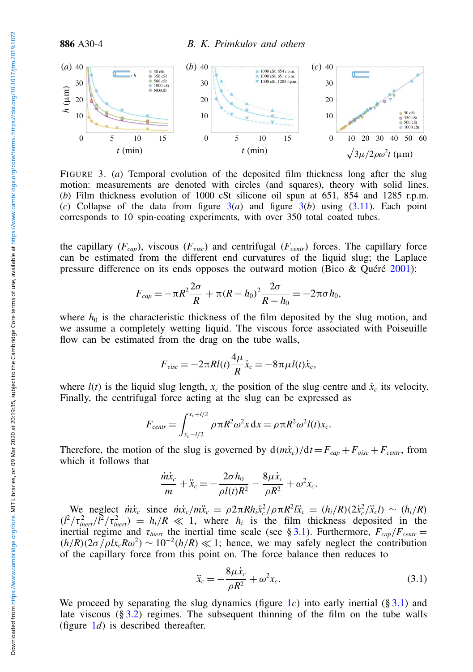<span id="page-3-0"></span>

FIGURE 3. (*a*) Temporal evolution of the deposited film thickness long after the slug motion: measurements are denoted with circles (and squares), theory with solid lines. (*b*) Film thickness evolution of 1000 cSt silicone oil spun at 651, 854 and 1285 r.p.m. (*c*) Collapse of the data from figure [3\(](#page-3-0)*a*) and figure [3\(](#page-3-0)*b*) using [\(3.11\)](#page-6-0). Each point corresponds to 10 spin-coating experiments, with over 350 total coated tubes.

the capillary  $(F_{cap})$ , viscous  $(F_{visc})$  and centrifugal  $(F_{centr})$  forces. The capillary force can be estimated from the different end curvatures of the liquid slug; the Laplace pressure difference on its ends opposes the outward motion (Bico & Quéré [2001\)](#page-12-19):

$$
F_{cap} = -\pi R^2 \frac{2\sigma}{R} + \pi (R - h_0)^2 \frac{2\sigma}{R - h_0} = -2\pi \sigma h_0,
$$

where  $h_0$  is the characteristic thickness of the film deposited by the slug motion, and we assume a completely wetting liquid. The viscous force associated with Poiseuille flow can be estimated from the drag on the tube walls,

$$
F_{visc} = -2\pi R l(t) \frac{4\mu}{R} \dot{x}_c = -8\pi \mu l(t) \dot{x}_c,
$$

where  $l(t)$  is the liquid slug length,  $x_c$  the position of the slug centre and  $\dot{x}_c$  its velocity. Finally, the centrifugal force acting at the slug can be expressed as

$$
F_{centr} = \int_{x_c - l/2}^{x_c + l/2} \rho \pi R^2 \omega^2 x \, dx = \rho \pi R^2 \omega^2 l(t) x_c.
$$

Therefore, the motion of the slug is governed by  $d(m\dot{x}_c)/dt = F_{cap} + F_{visc} + F_{centr}$ , from which it follows that

$$
\frac{\dot{m}\dot{x}_c}{m} + \ddot{x}_c = -\frac{2\sigma h_0}{\rho l(t)R^2} - \frac{8\mu\dot{x}_c}{\rho R^2} + \omega^2 x_c.
$$

We neglect  $\dot{m}\dot{x}_c$  since  $\dot{m}\dot{x}_c/m\ddot{x}_c = \rho 2\pi R h_i \dot{x}_c^2/\rho \pi R^2 l\ddot{x}_c = (h_i/R)(2\dot{x}_c^2/\ddot{x}_c l) \sim (h_i/R)$  $(l^2/\tau_{inert}^2/l^2/\tau_{inert}^2) = h_i/R \ll 1$ , where  $h_i$  is the film thickness deposited in the inertial regime and  $\tau_{inert}$  the inertial time scale (see § [3.1\)](#page-4-1). Furthermore,  $F_{cap}/F_{centr}$  =  $(h/R)(2\sigma/\rho l x_c R\omega^2) \sim 10^{-2} (h/R) \ll 1$ ; hence, we may safely neglect the contribution of the capillary force from this point on. The force balance then reduces to

<span id="page-3-1"></span>
$$
\ddot{x}_c = -\frac{8\mu \dot{x}_c}{\rho R^2} + \omega^2 x_c.
$$
\n(3.1)

We proceed by separating the slug dynamics (figure  $1c$  $1c$ ) into early inertial (§ [3.1\)](#page-4-1) and late viscous  $(\S 3.2)$  $(\S 3.2)$  regimes. The subsequent thinning of the film on the tube walls (figure  $1d$  $1d$ ) is described thereafter.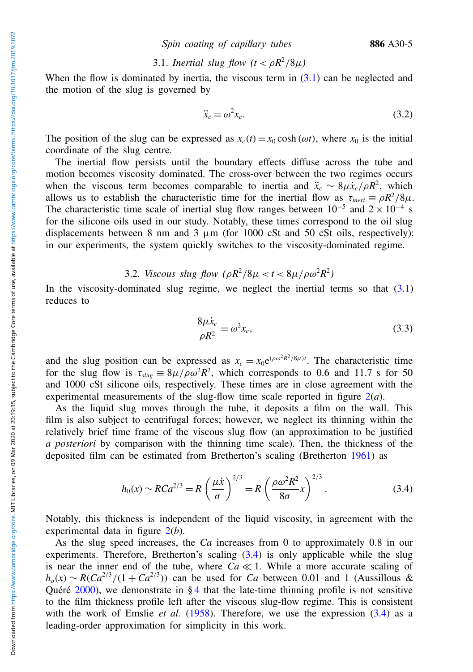Spin coating of capillary tubes 886 A30-5

# <span id="page-4-1"></span>3.1. *Inertial slug flow*  $(t < \rho R^2/8\mu)$

When the flow is dominated by inertia, the viscous term in  $(3.1)$  can be neglected and the motion of the slug is governed by

$$
\ddot{x}_c = \omega^2 x_c. \tag{3.2}
$$

The position of the slug can be expressed as  $x_c(t) = x_0 \cosh(\omega t)$ , where  $x_0$  is the initial coordinate of the slug centre.

The inertial flow persists until the boundary effects diffuse across the tube and motion becomes viscosity dominated. The cross-over between the two regimes occurs when the viscous term becomes comparable to inertia and  $\ddot{x}_c \sim 8\mu \dot{x}_c/\rho R^2$ , which allows us to establish the characteristic time for the inertial flow as  $\tau_{inert} \equiv \rho R^2/8\mu$ . The characteristic time scale of inertial slug flow ranges between  $10^{-5}$  and  $2 \times 10^{-4}$  s for the silicone oils used in our study. Notably, these times correspond to the oil slug displacements between 8 nm and 3  $\mu$ m (for 1000 cSt and 50 cSt oils, respectively): in our experiments, the system quickly switches to the viscosity-dominated regime.

# <span id="page-4-0"></span>3.2. *Viscous slug flow*  $(\rho R^2/8\mu < t < 8\mu/\rho\omega^2 R^2)$

In the viscosity-dominated slug regime, we neglect the inertial terms so that  $(3.1)$ reduces to

$$
\frac{8\mu\dot{x}_c}{\rho R^2} = \omega^2 x_c,\tag{3.3}
$$

and the slug position can be expressed as  $x_c = x_0 e^{(\rho \omega^2 R^2 / 8 \mu)t}$ . The characteristic time for the slug flow is  $\tau_{slug} \equiv 8\mu/\rho \omega^2 R^2$ , which corresponds to 0.6 and 11.7 s for 50 and 1000 cSt silicone oils, respectively. These times are in close agreement with the experimental measurements of the slug-flow time scale reported in figure [2\(](#page-2-1)*a*).

As the liquid slug moves through the tube, it deposits a film on the wall. This film is also subject to centrifugal forces; however, we neglect its thinning within the relatively brief time frame of the viscous slug flow (an approximation to be justified *a posteriori* by comparison with the thinning time scale). Then, the thickness of the deposited film can be estimated from Bretherton's scaling (Bretherton [1961\)](#page-12-15) as

<span id="page-4-2"></span>
$$
h_0(x) \sim RCa^{2/3} = R\left(\frac{\mu x}{\sigma}\right)^{2/3} = R\left(\frac{\rho \omega^2 R^2}{8\sigma} x\right)^{2/3}.
$$
 (3.4)

Notably, this thickness is independent of the liquid viscosity, in agreement with the experimental data in figure [2\(](#page-2-1)*b*).

As the slug speed increases, the *Ca* increases from 0 to approximately 0.8 in our experiments. Therefore, Bretherton's scaling [\(3.4\)](#page-4-2) is only applicable while the slug is near the inner end of the tube, where  $Ca \ll 1$ . While a more accurate scaling of  $h_o(x) \sim R(Ca^{2/3}/(1 + Ca^{2/3}))$  can be used for *Ca* between 0.01 and 1 (Aussillous & Quéré  $2000$ , we demonstrate in § [4](#page-6-1) that the late-time thinning profile is not sensitive to the film thickness profile left after the viscous slug-flow regime. This is consistent with the work of Emslie *et al.* [\(1958\)](#page-12-12). Therefore, we use the expression  $(3.4)$  as a leading-order approximation for simplicity in this work.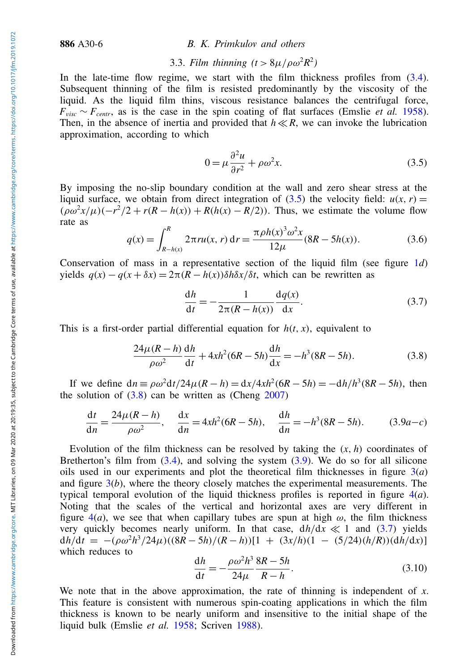# 3.3. *Film thinning*  $(t > 8\mu/\rho\omega^2 R^2)$

In the late-time flow regime, we start with the film thickness profiles from [\(3.4\)](#page-4-2). Subsequent thinning of the film is resisted predominantly by the viscosity of the liquid. As the liquid film thins, viscous resistance balances the centrifugal force,  $F_{visc} \sim F_{centr}$ , as is the case in the spin coating of flat surfaces (Emslie *et al.* [1958\)](#page-12-12). Then, in the absence of inertia and provided that  $h \ll R$ , we can invoke the lubrication approximation, according to which

<span id="page-5-0"></span>
$$
0 = \mu \frac{\partial^2 u}{\partial r^2} + \rho \omega^2 x.
$$
 (3.5)

By imposing the no-slip boundary condition at the wall and zero shear stress at the liquid surface, we obtain from direct integration of [\(3.5\)](#page-5-0) the velocity field:  $u(x, r) =$  $(\rho \omega^2 x/\mu)(-r^2/2 + r(R - h(x)) + R(h(x) - R/2))$ . Thus, we estimate the volume flow rate as

$$
q(x) = \int_{R-h(x)}^{R} 2\pi r u(x, r) dr = \frac{\pi \rho h(x)^{3} \omega^{2} x}{12\mu} (8R - 5h(x)).
$$
 (3.6)

Conservation of mass in a representative section of the liquid film (see figure [1](#page-1-1)*d*)  $y$ ields  $q(x) - q(x + \delta x) = 2\pi (R - h(x)) \delta h \delta x / \delta t$ , which can be rewritten as

<span id="page-5-3"></span>
$$
\frac{\mathrm{d}h}{\mathrm{d}t} = -\frac{1}{2\pi(R - h(x))} \frac{\mathrm{d}q(x)}{\mathrm{d}x}.\tag{3.7}
$$

This is a first-order partial differential equation for  $h(t, x)$ , equivalent to

<span id="page-5-1"></span>
$$
\frac{24\mu(R-h)}{\rho\omega^2}\frac{dh}{dt} + 4xh^2(6R - 5h)\frac{dh}{dx} = -h^3(8R - 5h).
$$
 (3.8)

If we define  $dn = \rho \omega^2 dt / 24\mu (R - h) = dx / 4xh^2 (6R - 5h) = -dh / h^3 (8R - 5h)$ , then the solution of  $(3.8)$  can be written as (Cheng  $2007$ )

<span id="page-5-2"></span>
$$
\frac{\mathrm{d}t}{\mathrm{d}n} = \frac{24\mu(R - h)}{\rho\omega^2}, \quad \frac{\mathrm{d}x}{\mathrm{d}n} = 4xh^2(6R - 5h), \quad \frac{\mathrm{d}h}{\mathrm{d}n} = -h^3(8R - 5h). \tag{3.9a-c}
$$

Evolution of the film thickness can be resolved by taking the  $(x, h)$  coordinates of Bretherton's film from [\(3.4\)](#page-4-2), and solving the system [\(3.9\)](#page-5-2). We do so for all silicone oils used in our experiments and plot the theoretical film thicknesses in figure [3\(](#page-3-0)*a*) and figure [3\(](#page-3-0)*b*), where the theory closely matches the experimental measurements. The typical temporal evolution of the liquid thickness profiles is reported in figure [4\(](#page-6-2)*a*). Noting that the scales of the vertical and horizontal axes are very different in figure  $4(a)$  $4(a)$ , we see that when capillary tubes are spun at high  $\omega$ , the film thickness very quickly becomes nearly uniform. In that case,  $dh/dx \ll 1$  and [\(3.7\)](#page-5-3) yields  $dh/dt = -(\rho \omega^2 h^3 / 24\mu)((8R - 5h)/(R - h))[1 + (3x/h)(1 - (5/24)(h/R))(dh/dx)]$ which reduces to

<span id="page-5-4"></span>
$$
\frac{\mathrm{d}h}{\mathrm{d}t} = -\frac{\rho\omega^2 h^3}{24\mu} \frac{8R - 5h}{R - h}.\tag{3.10}
$$

We note that in the above approximation, the rate of thinning is independent of *x*. This feature is consistent with numerous spin-coating applications in which the film thickness is known to be nearly uniform and insensitive to the initial shape of the liquid bulk (Emslie *et al.* [1958;](#page-12-12) Scriven [1988\)](#page-12-13).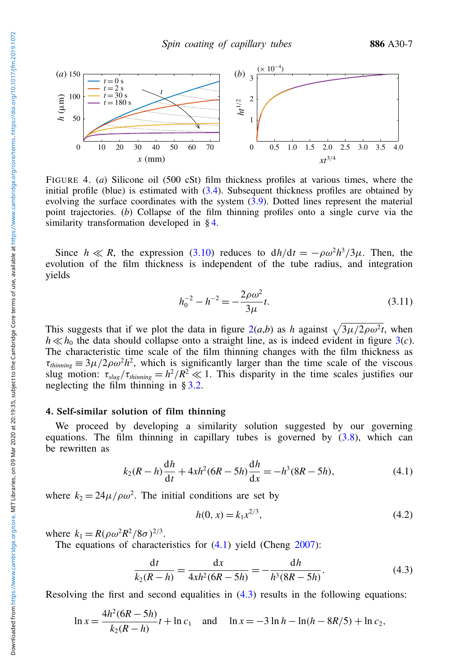<span id="page-6-2"></span>

FIGURE 4. (*a*) Silicone oil (500 cSt) film thickness profiles at various times, where the initial profile (blue) is estimated with [\(3.4\)](#page-4-2). Subsequent thickness profiles are obtained by evolving the surface coordinates with the system  $(3.9)$ . Dotted lines represent the material point trajectories. (*b*) Collapse of the film thinning profiles onto a single curve via the similarity transformation developed in § [4.](#page-6-1)

Since  $h \ll R$ , the expression [\(3.10\)](#page-5-4) reduces to  $dh/dt = -\rho \omega^2 h^3/3\mu$ . Then, the evolution of the film thickness is independent of the tube radius, and integration yields

<span id="page-6-0"></span>
$$
h_0^{-2} - h^{-2} = -\frac{2\rho\omega^2}{3\mu}t.
$$
 (3.11)

This suggests that if we plot the data in figure  $2(a,b)$  $2(a,b)$  as *h* against  $\sqrt{3\mu/2\rho\omega^2t}$ , when  $h \ll h_0$  the data should collapse onto a straight line, as is indeed evident in figure  $3(c)$  $3(c)$ . The characteristic time scale of the film thinning changes with the film thickness as  $\tau_{thinning} \equiv 3\mu/2\rho\omega^2h^2$ , which is significantly larger than the time scale of the viscous slug motion:  $\tau_{slug}/\tau_{thinning} = h^2/R^2 \ll 1$ . This disparity in the time scales justifies our neglecting the film thinning in  $\S 3.2$ .

## <span id="page-6-1"></span>4. Self-similar solution of film thinning

We proceed by developing a similarity solution suggested by our governing equations. The film thinning in capillary tubes is governed by  $(3.8)$ , which can be rewritten as

<span id="page-6-3"></span>
$$
k_2(R - h)\frac{dh}{dt} + 4xh^2(6R - 5h)\frac{dh}{dx} = -h^3(8R - 5h),\tag{4.1}
$$

where  $k_2 = 24\mu/\rho\omega^2$ . The initial conditions are set by

<span id="page-6-5"></span>
$$
h(0, x) = k_1 x^{2/3},\tag{4.2}
$$

where  $k_1 = R(\rho \omega^2 R^2 / 8\sigma)^{2/3}$ .

The equations of characteristics for  $(4.1)$  yield (Cheng [2007\)](#page-12-20):

<span id="page-6-4"></span>
$$
\frac{dt}{k_2(R-h)} = \frac{dx}{4xh^2(6R-5h)} = -\frac{dh}{h^3(8R-5h)}.
$$
\n(4.3)

Resolving the first and second equalities in  $(4.3)$  results in the following equations:

$$
\ln x = \frac{4h^2(6R - 5h)}{k_2(R - h)}t + \ln c_1 \quad \text{and} \quad \ln x = -3\ln h - \ln(h - 8R/5) + \ln c_2,
$$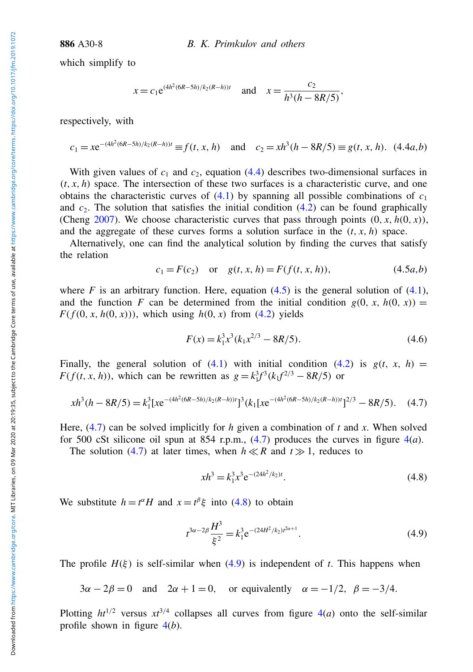which simplify to

$$
x = c_1 e^{(4h^2(6R-5h)/k_2(R-h))t}
$$
 and  $x = \frac{c_2}{h^3(h-8R/5)}$ ,

<span id="page-7-0"></span>respectively, with

$$
c_1 = xe^{-(4h^2(6R-5h)/k_2(R-h))t} \equiv f(t, x, h) \quad \text{and} \quad c_2 = xh^3(h - 8R/5) \equiv g(t, x, h). \tag{4.4a,b}
$$

With given values of  $c_1$  and  $c_2$ , equation [\(4.4\)](#page-7-0) describes two-dimensional surfaces in  $(t, x, h)$  space. The intersection of these two surfaces is a characteristic curve, and one obtains the characteristic curves of  $(4.1)$  by spanning all possible combinations of  $c_1$ and  $c<sub>2</sub>$ . The solution that satisfies the initial condition [\(4.2\)](#page-6-5) can be found graphically (Cheng [2007\)](#page-12-20). We choose characteristic curves that pass through points  $(0, x, h(0, x))$ , and the aggregate of these curves forms a solution surface in the  $(t, x, h)$  space.

Alternatively, one can find the analytical solution by finding the curves that satisfy the relation

<span id="page-7-1"></span>
$$
c_1 = F(c_2)
$$
 or  $g(t, x, h) = F(f(t, x, h)),$  (4.5*a*,*b*)

where *F* is an arbitrary function. Here, equation  $(4.5)$  is the general solution of  $(4.1)$ , and the function *F* can be determined from the initial condition  $g(0, x, h(0, x)) =$  $F(f(0, x, h(0, x)))$ , which using  $h(0, x)$  from [\(4.2\)](#page-6-5) yields

$$
F(x) = k_1^3 x^3 (k_1 x^{2/3} - 8R/5).
$$
 (4.6)

Finally, the general solution of  $(4.1)$  with initial condition  $(4.2)$  is  $g(t, x, h)$ *F*(*f*(*t*, *x*, *h*)), which can be rewritten as  $g = k_1^3 f^3 (k_1 f^{2/3} - 8R/5)$  or

<span id="page-7-2"></span>
$$
xh^3(h - 8R/5) = k_1^3 [xe^{-(4h^2(6R - 5h)/k_2(R - h))t}]^3 (k_1 [xe^{-(4h^2(6R - 5h)/k_2(R - h))t}]^{2/3} - 8R/5). \quad (4.7)
$$

Here, [\(4.7\)](#page-7-2) can be solved implicitly for *h* given a combination of *t* and *x*. When solved for 500 cSt silicone oil spun at 854 r.p.m.,  $(4.7)$  produces the curves in figure  $4(a)$  $4(a)$ .

The solution [\(4.7\)](#page-7-2) at later times, when  $h \ll R$  and  $t \gg 1$ , reduces to

<span id="page-7-3"></span>
$$
xh^3 = k_1^3 x^3 e^{-(24h^2/k_2)t}.
$$
\n(4.8)

We substitute  $h = t^{\alpha}H$  and  $x = t^{\beta}\xi$  into [\(4.8\)](#page-7-3) to obtain

<span id="page-7-4"></span>
$$
t^{3\alpha - 2\beta} \frac{H^3}{\xi^2} = k_1^3 e^{-(24H^2/k_2)t^{2\alpha + 1}}.
$$
\n(4.9)

The profile  $H(\xi)$  is self-similar when [\(4.9\)](#page-7-4) is independent of *t*. This happens when

 $3\alpha - 2\beta = 0$  and  $2\alpha + 1 = 0$ , or equivalently  $\alpha = -1/2$ ,  $\beta = -3/4$ .

Plotting  $ht^{1/2}$  versus  $xt^{3/4}$  collapses all curves from figure  $4(a)$  $4(a)$  onto the self-similar profile shown in figure [4\(](#page-6-2)*b*).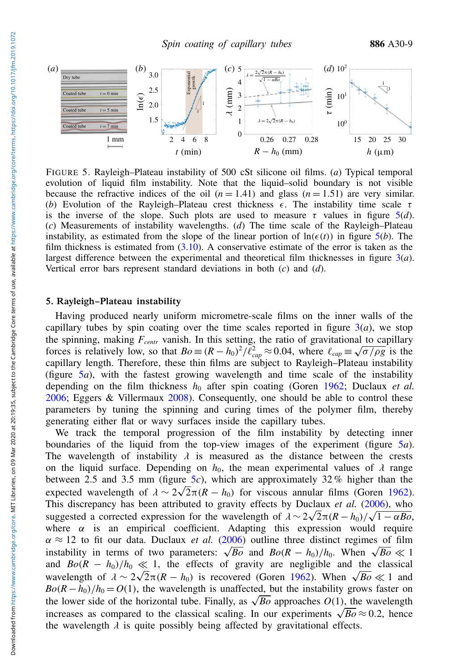<span id="page-8-1"></span>

FIGURE 5. Rayleigh–Plateau instability of 500 cSt silicone oil films. (*a*) Typical temporal evolution of liquid film instability. Note that the liquid–solid boundary is not visible because the refractive indices of the oil  $(n = 1.41)$  and glass  $(n = 1.51)$  are very similar. (b) Evolution of the Rayleigh–Plateau crest thickness  $\epsilon$ . The instability time scale  $\tau$ is the inverse of the slope. Such plots are used to measure  $\tau$  values in figure  $5(d)$  $5(d)$ . (*c*) Measurements of instability wavelengths. (*d*) The time scale of the Rayleigh–Plateau instability, as estimated from the slope of the linear portion of  $\ln(\epsilon(t))$  in figure [5\(](#page-8-1)*b*). The film thickness is estimated from  $(3.10)$ . A conservative estimate of the error is taken as the largest difference between the experimental and theoretical film thicknesses in figure [3\(](#page-3-0)*a*). Vertical error bars represent standard deviations in both (*c*) and (*d*).

## <span id="page-8-0"></span>5. Rayleigh–Plateau instability

Having produced nearly uniform micrometre-scale films on the inner walls of the capillary tubes by spin coating over the time scales reported in figure  $3(a)$  $3(a)$ , we stop the spinning, making  $F_{centr}$  vanish. In this setting, the ratio of gravitational to capillary forces is relatively low, so that  $Bo \equiv (R - h_0)^2 / l_{cap}^2 \approx 0.04$ , where  $\ell_{cap} \equiv \sqrt{\sigma / \rho g}$  is the capillary length. Therefore, these thin films are subject to Rayleigh–Plateau instability (figure [5](#page-8-1)*a*), with the fastest growing wavelength and time scale of the instability depending on the film thickness  $h_0$  after spin coating (Goren [1962;](#page-12-0) Duclaux *et al.*) [2006;](#page-12-2) Eggers & Villermaux [2008\)](#page-12-21). Consequently, one should be able to control these parameters by tuning the spinning and curing times of the polymer film, thereby generating either flat or wavy surfaces inside the capillary tubes.

We track the temporal progression of the film instability by detecting inner boundaries of the liquid from the top-view images of the experiment (figure [5](#page-8-1)*a*).<br>The wavelength of instability  $\lambda$  is measured as the distance between the crests The wavelength of instability  $\lambda$  is measured as the distance between the crests on the liquid surface. Depending on  $h_0$  the mean experimental values of  $\lambda$  range on the liquid surface. Depending on  $h_0$ , the mean experimental values of  $\lambda$  range<br>between 2.5 and 3.5 mm (figure 5c), which are approximately 32% higher than the between 2.[5](#page-8-1) and 3.5 mm (figure  $5c$ ), which are approximately 32% higher than the expected wavelength of  $\lambda \sim 2\sqrt{2}\pi (R - h_0)$  for viscous annular films (Goren [1962\)](#page-12-0).<br>This discrepancy has been attributed to gravity effects by Duclaux *et al.* (2006), who This discrepancy has been attributed to gravity effects by Duclaux *et al.* [\(2006\)](#page-12-2), who This discrepancy has been attributed to gravity effects by Duclaux *et al.* (2006), who<br>suggested a corrected expression for the wavelength of  $\lambda \sim 2\sqrt{2}\pi (R - h_0)/\sqrt{1 - \alpha B_0}$ ,<br>where α is an empirical coefficient. Adapt where  $\alpha$  is an empirical coefficient. Adapting this expression would require  $\alpha \approx 12$  to fit our data. Duclaux *et al.* [\(2006\)](#page-12-2) outline three distinct regimes of film  $\alpha \approx 12$  to fit our data. Duclaux *et al.* (2006) outline three distinct regimes of film<br>instability in terms of two parameters:  $\sqrt{Bo}$  and  $Bo(R - h_0)/h_0$ . When  $\sqrt{Bo} \ll 1$ and  $Bo(R - h_0)/h_0 \ll 1$ , the effects of gravity are negligible and the classical and  $Bo(K - h_0)/h_0 \ll 1$ , the effects of gravity are negligible and the classical<br>wavelength of  $\lambda \sim 2\sqrt{2\pi}(R - h_0)$  is recovered (Goren [1962\)](#page-12-0). When  $\sqrt{Bo} \ll 1$  and<br> $Bo(R - h_0)/h_0 = O(1)$  the wavelength is unaffected but the i  $Bo(R - h_0)/h_0 = O(1)$ , the wavelength is unaffected, but the instability grows faster on  $Bo(R - n_0)/n_0 = O(1)$ , the wavelength is unaffected, but the instability grows faster on the lower side of the horizontal tube. Finally, as  $\sqrt{Bo}$  approaches  $O(1)$ , the wavelength the lower side of the horizontal tube. Finally, as  $\sqrt{Bo}$  approaches  $O(1)$ , the wavelength increases as compared to the classical scaling. In our experiments  $\sqrt{Bo} \approx 0.2$ , hence the wavelength  $\lambda$  is quite possibly being affected by gravitational effects.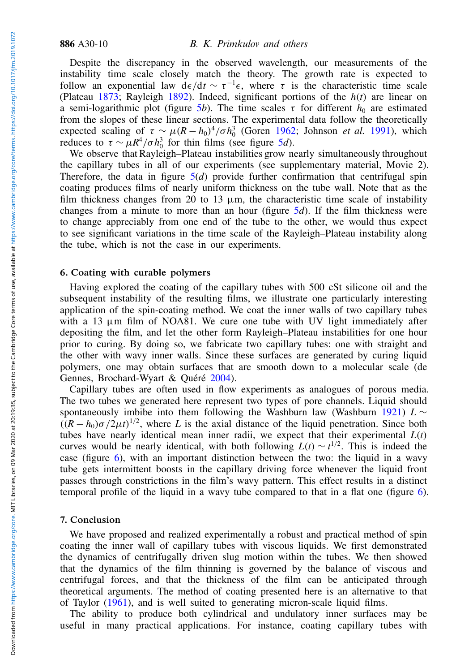Despite the discrepancy in the observed wavelength, our measurements of the instability time scale closely match the theory. The growth rate is expected to follow an exponential law  $d\epsilon/dt \sim \tau^{-1} \epsilon$ , where  $\tau$  is the characteristic time scale (Plateau [1873;](#page-12-22) Rayleigh [1892\)](#page-12-23). Indeed, significant portions of the *h*(*t*) are linear on a semi-logarithmic plot (figure [5](#page-8-1)*b*). The time scales  $\tau$  for different  $h_0$  are estimated from the slopes of these linear sections. The experimental data follow the theoretically expected scaling of  $\tau \sim \mu (R - h_0)^4 / \sigma h_0^3$  (Goren [1962;](#page-12-0) Johnson *et al.* [1991\)](#page-12-24), which reduces to  $\tau \sim \mu R^4 / \sigma h_0^3$  for thin films (see figure [5](#page-8-1)*d*).

We observe that Rayleigh–Plateau instabilities grow nearly simultaneously throughout the capillary tubes in all of our experiments (see supplementary material, Movie 2). Therefore, the data in figure  $5(d)$  $5(d)$  provide further confirmation that centrifugal spin coating produces films of nearly uniform thickness on the tube wall. Note that as the film thickness changes from 20 to 13  $\mu$ m, the characteristic time scale of instability changes from a minute to more than an hour (figure [5](#page-8-1)*d*). If the film thickness were to change appreciably from one end of the tube to the other, we would thus expect to see significant variations in the time scale of the Rayleigh–Plateau instability along the tube, which is not the case in our experiments.

## <span id="page-9-0"></span>6. Coating with curable polymers

Having explored the coating of the capillary tubes with 500 cSt silicone oil and the subsequent instability of the resulting films, we illustrate one particularly interesting application of the spin-coating method. We coat the inner walls of two capillary tubes with a 13  $\mu$ m film of NOA81. We cure one tube with UV light immediately after depositing the film, and let the other form Rayleigh–Plateau instabilities for one hour prior to curing. By doing so, we fabricate two capillary tubes: one with straight and the other with wavy inner walls. Since these surfaces are generated by curing liquid polymers, one may obtain surfaces that are smooth down to a molecular scale (de Gennes, Brochard-Wyart & Quéré [2004\)](#page-12-25).

Capillary tubes are often used in flow experiments as analogues of porous media. The two tubes we generated here represent two types of pore channels. Liquid should spontaneously imbibe into them following the Washburn law (Washburn [1921\)](#page-12-3) *L* ∼  $((R - h_0)\sigma/2\mu t)^{1/2}$ , where *L* is the axial distance of the liquid penetration. Since both tubes have nearly identical mean inner radii, we expect that their experimental  $L(t)$ curves would be nearly identical, with both following  $L(t) \sim t^{1/2}$ . This is indeed the case (figure [6\)](#page-10-1), with an important distinction between the two: the liquid in a wavy tube gets intermittent boosts in the capillary driving force whenever the liquid front passes through constrictions in the film's wavy pattern. This effect results in a distinct temporal profile of the liquid in a wavy tube compared to that in a flat one (figure [6\)](#page-10-1).

#### 7. Conclusion

We have proposed and realized experimentally a robust and practical method of spin coating the inner wall of capillary tubes with viscous liquids. We first demonstrated the dynamics of centrifugally driven slug motion within the tubes. We then showed that the dynamics of the film thinning is governed by the balance of viscous and centrifugal forces, and that the thickness of the film can be anticipated through theoretical arguments. The method of coating presented here is an alternative to that of Taylor [\(1961\)](#page-12-14), and is well suited to generating micron-scale liquid films.

The ability to produce both cylindrical and undulatory inner surfaces may be useful in many practical applications. For instance, coating capillary tubes with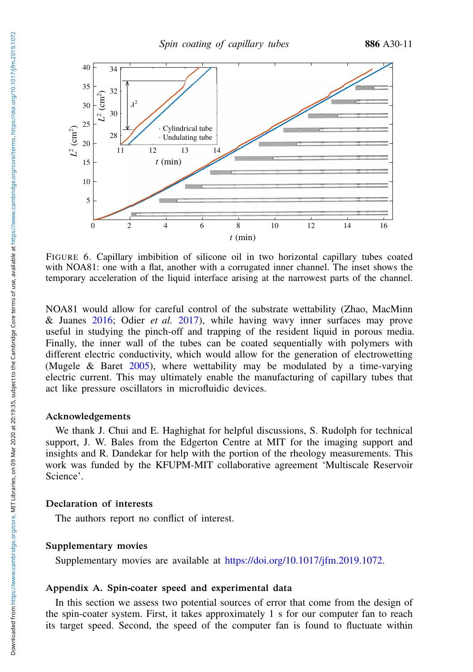<span id="page-10-1"></span>

FIGURE 6. Capillary imbibition of silicone oil in two horizontal capillary tubes coated with NOA81: one with a flat, another with a corrugated inner channel. The inset shows the temporary acceleration of the liquid interface arising at the narrowest parts of the channel.

NOA81 would allow for careful control of the substrate wettability (Zhao, MacMinn & Juanes [2016;](#page-12-26) Odier *et al.* [2017\)](#page-12-27), while having wavy inner surfaces may prove useful in studying the pinch-off and trapping of the resident liquid in porous media. Finally, the inner wall of the tubes can be coated sequentially with polymers with different electric conductivity, which would allow for the generation of electrowetting (Mugele & Baret [2005\)](#page-12-28), where wettability may be modulated by a time-varying electric current. This may ultimately enable the manufacturing of capillary tubes that act like pressure oscillators in microfluidic devices.

#### Acknowledgements

We thank J. Chui and E. Haghighat for helpful discussions, S. Rudolph for technical support, J. W. Bales from the Edgerton Centre at MIT for the imaging support and insights and R. Dandekar for help with the portion of the rheology measurements. This work was funded by the KFUPM-MIT collaborative agreement 'Multiscale Reservoir Science'.

## Declaration of interests

The authors report no conflict of interest.

## Supplementary movies

Supplementary movies are available at [https://doi.org/10.1017/jfm.2019.1072.](https://doi.org/10.1017/jfm.2019.1072)

## <span id="page-10-0"></span>Appendix A. Spin-coater speed and experimental data

In this section we assess two potential sources of error that come from the design of the spin-coater system. First, it takes approximately 1 s for our computer fan to reach its target speed. Second, the speed of the computer fan is found to fluctuate within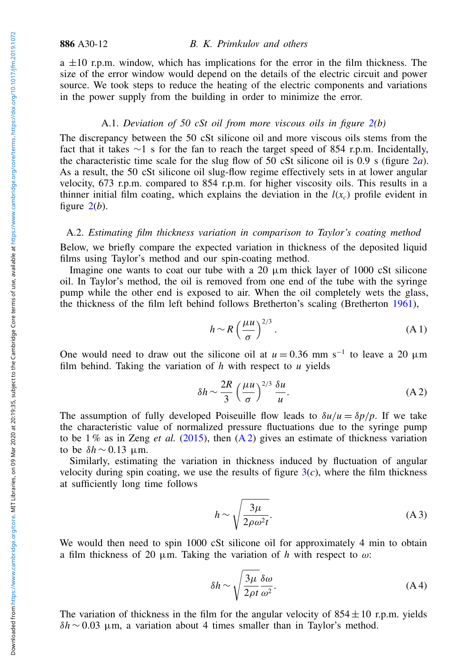886 A30-12 B. K. Primkulov and others

 $a \pm 10$  r.p.m. window, which has implications for the error in the film thickness. The size of the error window would depend on the details of the electric circuit and power source. We took steps to reduce the heating of the electric components and variations in the power supply from the building in order to minimize the error.

## A.1. *Deviation of 50 cSt oil from more viscous oils in figure [2\(](#page-2-1)b)*

The discrepancy between the 50 cSt silicone oil and more viscous oils stems from the fact that it takes ∼1 s for the fan to reach the target speed of 854 r.p.m. Incidentally, the characteristic time scale for the slug flow of 50 cSt silicone oil is 0.9 s (figure [2](#page-2-1)*a*). As a result, the 50 cSt silicone oil slug-flow regime effectively sets in at lower angular velocity, 673 r.p.m. compared to 854 r.p.m. for higher viscosity oils. This results in a thinner initial film coating, which explains the deviation in the  $l(x_c)$  profile evident in figure  $2(b)$  $2(b)$ .

## A.2. *Estimating film thickness variation in comparison to Taylor's coating method*

Below, we briefly compare the expected variation in thickness of the deposited liquid films using Taylor's method and our spin-coating method.

Imagine one wants to coat our tube with a  $20 \mu m$  thick layer of 1000 cSt silicone oil. In Taylor's method, the oil is removed from one end of the tube with the syringe pump while the other end is exposed to air. When the oil completely wets the glass, the thickness of the film left behind follows Bretherton's scaling (Bretherton [1961\)](#page-12-15),

$$
h \sim R \left(\frac{\mu u}{\sigma}\right)^{2/3}.
$$
 (A1)

One would need to draw out the silicone oil at  $u = 0.36$  mm s<sup>-1</sup> to leave a 20  $\mu$ m film behind. Taking the variation of *h* with respect to *u* yields

<span id="page-11-0"></span>
$$
\delta h \sim \frac{2R}{3} \left(\frac{\mu u}{\sigma}\right)^{2/3} \frac{\delta u}{u}.\tag{A.2}
$$

The assumption of fully developed Poiseuille flow leads to  $\delta u/u = \delta p/p$ . If we take the characteristic value of normalized pressure fluctuations due to the syringe pump to be  $1\%$  as in Zeng *et al.* [\(2015\)](#page-12-18), then  $(A2)$  gives an estimate of thickness variation to be  $\delta h \sim 0.13$  µm.

Similarly, estimating the variation in thickness induced by fluctuation of angular velocity during spin coating, we use the results of figure  $3(c)$  $3(c)$ , where the film thickness at sufficiently long time follows

$$
h \sim \sqrt{\frac{3\mu}{2\rho \omega^2 t}}.\tag{A3}
$$

We would then need to spin 1000 cSt silicone oil for approximately 4 min to obtain a film thickness of 20  $\mu$ m. Taking the variation of *h* with respect to  $\omega$ :

$$
\delta h \sim \sqrt{\frac{3\mu}{2\rho t}} \frac{\delta \omega}{\omega^2}.
$$
 (A4)

The variation of thickness in the film for the angular velocity of  $854 \pm 10$  r.p.m. yields  $δh \sim 0.03$  μm, a variation about 4 times smaller than in Taylor's method.